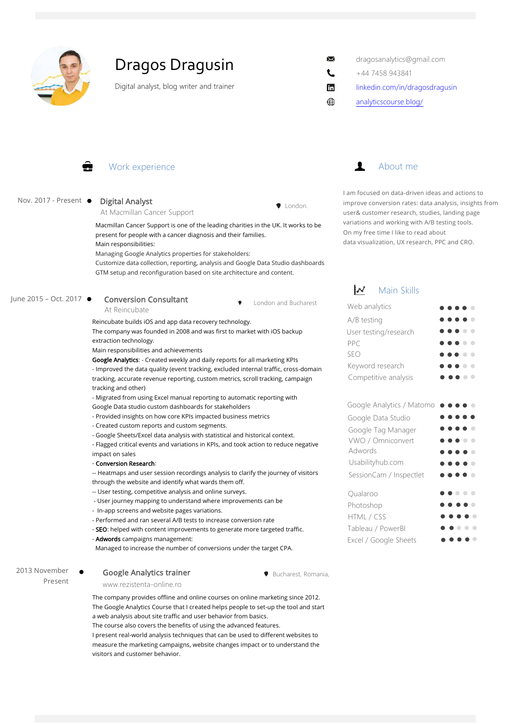

# Dragos Dragusin

Digital analyst, blog writer and trainer

- dragosanalytics@gmail.com
- +44 7458 943841

 $\times$ L

- linkedin.com/in/dragosdragusin
- analyticscourse.blog/

### Work experience

### Nov. 2017 - Present . Digital Analyst

### At Macmillan Cancer Support

Macmillan Cancer Support is one of the leading charities in the UK. It works to be present for people with a cancer diagnosis and their families. Main responsibilities:

Managing Google Analytics properties for stakeholders:

Customize data collection, reporting, analysis and Google Data Studio dashboards GTM setup and reconfiguration based on site architecture and content.

### June 2015 – Oct. 2017

At Reincubate

Reincubate builds iOS and app data recovery technology.

The company was founded in 2008 and was first to market with iOS backup extraction technology.

Main responsibilities and achievements

Conversion Consultant

Google Analytics: - Created weekly and daily reports for all marketing KPIs - Improved the data quality (event tracking, excluded internal traffic, cross-domain tracking, accurate revenue reporting, custom metrics, scroll tracking, campaign tracking and other)

- Migrated from using Excel manual reporting to automatic reporting with

Google Data studio custom dashboards for stakeholders - Provided insights on how core KPIs impacted business metrics

- 
- Created custom reports and custom segments.
- Google Sheets/Excel data analysis with statistical and historical context.
- Flagged critical events and variations in KPIs, and took action to reduce negative impact on sales

#### - Conversion Research:

-- Heatmaps and user session recordings analysis to clarify the journey of visitors through the website and identify what wards them off.

- -- User testing, competitive analysis and online surveys.
- User journey mapping to understand where improvements can be
- In-app screens and website pages variations.
- Performed and ran several A/B tests to increase conversion rate
- SEO: helped with content improvements to generate more targeted traffic.
- Adwords campaigns management:

Managed to increase the number of conversions under the target CPA.

### 2013 November Present

www.rezistenta-online.ro Google Analytics trainer

The company provides offline and online courses on online marketing since 2012. The Google Analytics Course that I created helps people to set-up the tool and start a web analysis about site traffic and user behavior from basics.

The course also covers the benefits of using the advanced features.

I present real-world analysis techniques that can be used to different websites to measure the marketing campaigns, website changes impact or to understand the visitors and customer behavior.



I am focused on data-driven ideas and actions to improve conversion rates: data analysis, insights from user& customer research, studies, landing page variations and working with A/B testing tools. On my free time I like to read about data visualization, UX research, PPC and CRO.

## $\mathcal{N}$  Main Skills

| Web analytics         | $\bullet\bullet\bullet\bullet\bullet$                                                                                |
|-----------------------|----------------------------------------------------------------------------------------------------------------------|
| A/B testing           | $\bullet\bullet\bullet\bullet\bullet$                                                                                |
| User testing/research | $\bullet\bullet\bullet\bullet\bullet$                                                                                |
| PPC                   |                                                                                                                      |
| <b>SEO</b>            | $\bullet\bullet\bullet\bullet\bullet$                                                                                |
| Keyword research      |                                                                                                                      |
| Competitive analysis  | $\bullet\hspace{0.1cm} \bullet\hspace{0.1cm}\bullet\hspace{0.1cm}\bullet\hspace{0.1cm}\bullet\hspace{0.1cm} \bullet$ |

| Google Analytics / Matomo ●●●●● |                                         |                                         |                          |
|---------------------------------|-----------------------------------------|-----------------------------------------|--------------------------|
| Google Data Studio              |                                         | $\bullet$ $\bullet$ $\bullet$ $\bullet$ |                          |
| Google Tag Manager              | $\bullet$ $\bullet$ $\bullet$ $\bullet$ |                                         |                          |
| VWO / Omniconvert               |                                         | .                                       |                          |
| Adwords                         |                                         | $\bullet\bullet\bullet\bullet$          |                          |
| Usabilityhub.com                | .                                       |                                         |                          |
| SessionCam / Inspectlet         |                                         | $\bullet$ $\bullet$ $\bullet$           |                          |
| Oualaroo                        |                                         | $\bullet\bullet\bullet$                 |                          |
| Photoshop                       | $\bullet$ $\bullet$ $\bullet$ $\bullet$ |                                         |                          |
| HTML / CSS                      |                                         | $\bullet$ $\bullet$ (                   |                          |
| Tableau / PowerBI               |                                         |                                         | $\overline{\phantom{a}}$ |
| Excel / Google Sheets           |                                         |                                         |                          |

Bucharest, Romania,

London and Bucharest

 $\bullet$  London.